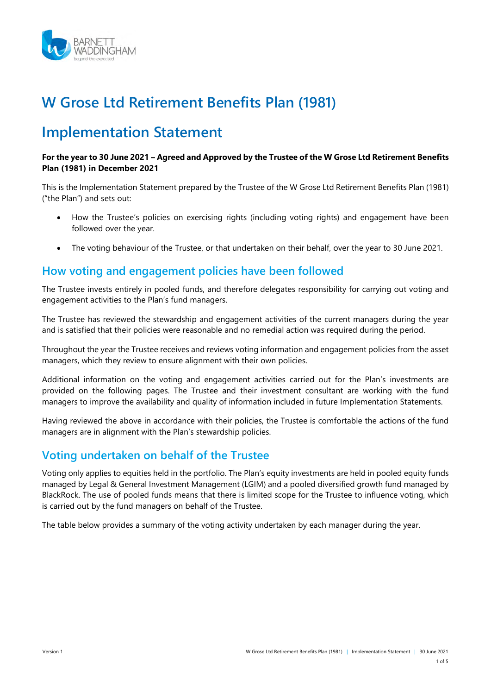

# **W Grose Ltd Retirement Benefits Plan (1981)**

## **Implementation Statement**

#### **For the year to 30 June 2021 – Agreed and Approved by the Trustee of the W Grose Ltd Retirement Benefits Plan (1981) in December 2021**

This is the Implementation Statement prepared by the Trustee of the W Grose Ltd Retirement Benefits Plan (1981) ("the Plan") and sets out:

- How the Trustee's policies on exercising rights (including voting rights) and engagement have been followed over the year.
- The voting behaviour of the Trustee, or that undertaken on their behalf, over the year to 30 June 2021.

## **How voting and engagement policies have been followed**

The Trustee invests entirely in pooled funds, and therefore delegates responsibility for carrying out voting and engagement activities to the Plan's fund managers.

The Trustee has reviewed the stewardship and engagement activities of the current managers during the year and is satisfied that their policies were reasonable and no remedial action was required during the period.

Throughout the year the Trustee receives and reviews voting information and engagement policies from the asset managers, which they review to ensure alignment with their own policies.

Additional information on the voting and engagement activities carried out for the Plan's investments are provided on the following pages. The Trustee and their investment consultant are working with the fund managers to improve the availability and quality of information included in future Implementation Statements.

Having reviewed the above in accordance with their policies, the Trustee is comfortable the actions of the fund managers are in alignment with the Plan's stewardship policies.

## **Voting undertaken on behalf of the Trustee**

Voting only applies to equities held in the portfolio. The Plan's equity investments are held in pooled equity funds managed by Legal & General Investment Management (LGIM) and a pooled diversified growth fund managed by BlackRock. The use of pooled funds means that there is limited scope for the Trustee to influence voting, which is carried out by the fund managers on behalf of the Trustee.

The table below provides a summary of the voting activity undertaken by each manager during the year.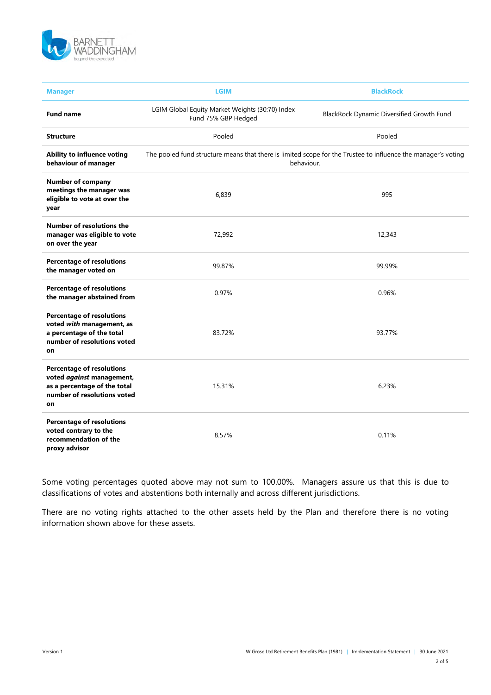

| <b>Manager</b>                                                                                                                     | <b>LGIM</b>                                                                                                                 | <b>BlackRock</b>                          |  |
|------------------------------------------------------------------------------------------------------------------------------------|-----------------------------------------------------------------------------------------------------------------------------|-------------------------------------------|--|
| <b>Fund name</b>                                                                                                                   | LGIM Global Equity Market Weights (30:70) Index<br>Fund 75% GBP Hedged                                                      | BlackRock Dynamic Diversified Growth Fund |  |
| <b>Structure</b>                                                                                                                   | Pooled                                                                                                                      | Pooled                                    |  |
| Ability to influence voting<br>behaviour of manager                                                                                | The pooled fund structure means that there is limited scope for the Trustee to influence the manager's voting<br>behaviour. |                                           |  |
| Number of company<br>meetings the manager was<br>eligible to vote at over the<br>year                                              | 6,839                                                                                                                       | 995                                       |  |
| <b>Number of resolutions the</b><br>manager was eligible to vote<br>on over the year                                               | 72,992                                                                                                                      | 12,343                                    |  |
| <b>Percentage of resolutions</b><br>the manager voted on                                                                           | 99.87%                                                                                                                      | 99.99%                                    |  |
| <b>Percentage of resolutions</b><br>the manager abstained from                                                                     | 0.97%                                                                                                                       | 0.96%                                     |  |
| <b>Percentage of resolutions</b><br>voted with management, as<br>a percentage of the total<br>number of resolutions voted<br>on    | 83.72%                                                                                                                      | 93.77%                                    |  |
| <b>Percentage of resolutions</b><br>voted against management,<br>as a percentage of the total<br>number of resolutions voted<br>on | 15.31%                                                                                                                      | 6.23%                                     |  |
| <b>Percentage of resolutions</b><br>voted contrary to the<br>recommendation of the<br>proxy advisor                                | 8.57%                                                                                                                       | 0.11%                                     |  |

Some voting percentages quoted above may not sum to 100.00%. Managers assure us that this is due to classifications of votes and abstentions both internally and across different jurisdictions.

There are no voting rights attached to the other assets held by the Plan and therefore there is no voting information shown above for these assets.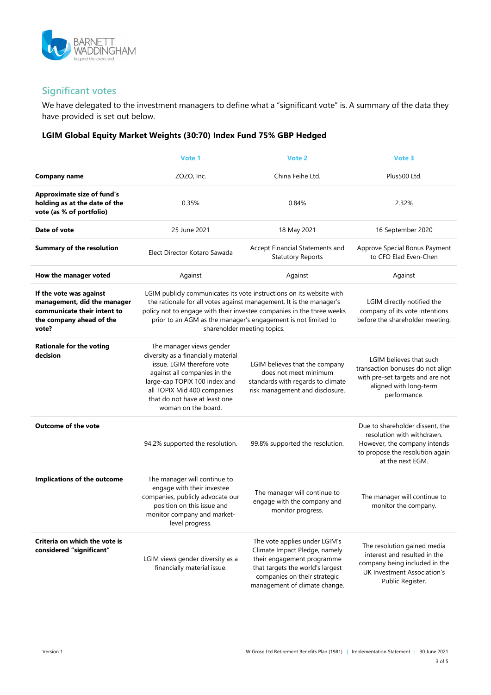

### **Significant votes**

We have delegated to the investment managers to define what a "significant vote" is. A summary of the data they have provided is set out below.

#### **LGIM Global Equity Market Weights (30:70) Index Fund 75% GBP Hedged**

|                                                                                                                            | Vote 1                                                                                                                                                                                                                                                                                                               | Vote 2                                                                                                                                                                                            | Vote 3                                                                                                                                               |
|----------------------------------------------------------------------------------------------------------------------------|----------------------------------------------------------------------------------------------------------------------------------------------------------------------------------------------------------------------------------------------------------------------------------------------------------------------|---------------------------------------------------------------------------------------------------------------------------------------------------------------------------------------------------|------------------------------------------------------------------------------------------------------------------------------------------------------|
| <b>Company name</b>                                                                                                        | ZOZO, Inc.                                                                                                                                                                                                                                                                                                           | China Feihe Ltd.                                                                                                                                                                                  | Plus500 Ltd.                                                                                                                                         |
| <b>Approximate size of fund's</b><br>holding as at the date of the<br>vote (as % of portfolio)                             | 0.35%                                                                                                                                                                                                                                                                                                                | 0.84%                                                                                                                                                                                             | 2.32%                                                                                                                                                |
| Date of vote                                                                                                               | 25 June 2021                                                                                                                                                                                                                                                                                                         | 18 May 2021                                                                                                                                                                                       | 16 September 2020                                                                                                                                    |
| <b>Summary of the resolution</b>                                                                                           | Elect Director Kotaro Sawada                                                                                                                                                                                                                                                                                         | Accept Financial Statements and<br><b>Statutory Reports</b>                                                                                                                                       | Approve Special Bonus Payment<br>to CFO Elad Even-Chen                                                                                               |
| How the manager voted                                                                                                      | Against                                                                                                                                                                                                                                                                                                              | Against                                                                                                                                                                                           | Against                                                                                                                                              |
| If the vote was against<br>management, did the manager<br>communicate their intent to<br>the company ahead of the<br>vote? | LGIM publicly communicates its vote instructions on its website with<br>the rationale for all votes against management. It is the manager's<br>policy not to engage with their investee companies in the three weeks<br>prior to an AGM as the manager's engagement is not limited to<br>shareholder meeting topics. |                                                                                                                                                                                                   | LGIM directly notified the<br>company of its vote intentions<br>before the shareholder meeting.                                                      |
| <b>Rationale for the voting</b><br>decision                                                                                | The manager views gender<br>diversity as a financially material<br>issue. LGIM therefore vote<br>against all companies in the<br>large-cap TOPIX 100 index and<br>all TOPIX Mid 400 companies<br>that do not have at least one<br>woman on the board.                                                                | LGIM believes that the company<br>does not meet minimum<br>standards with regards to climate<br>risk management and disclosure.                                                                   | LGIM believes that such<br>transaction bonuses do not align<br>with pre-set targets and are not<br>aligned with long-term<br>performance.            |
| <b>Outcome of the vote</b>                                                                                                 | 94.2% supported the resolution.                                                                                                                                                                                                                                                                                      | 99.8% supported the resolution.                                                                                                                                                                   | Due to shareholder dissent, the<br>resolution with withdrawn.<br>However, the company intends<br>to propose the resolution again<br>at the next EGM. |
| Implications of the outcome                                                                                                | The manager will continue to<br>engage with their investee<br>companies, publicly advocate our<br>position on this issue and<br>monitor company and market-<br>level progress.                                                                                                                                       | The manager will continue to<br>engage with the company and<br>monitor progress.                                                                                                                  | The manager will continue to<br>monitor the company.                                                                                                 |
| Criteria on which the vote is<br>considered "significant"                                                                  | LGIM views gender diversity as a<br>financially material issue.                                                                                                                                                                                                                                                      | The vote applies under LGIM's<br>Climate Impact Pledge, namely<br>their engagement programme<br>that targets the world's largest<br>companies on their strategic<br>management of climate change. | The resolution gained media<br>interest and resulted in the<br>company being included in the<br>UK Investment Association's<br>Public Register.      |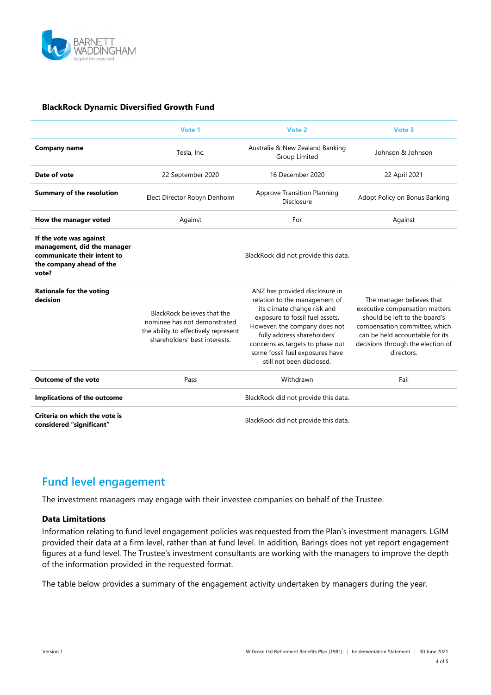

#### **BlackRock Dynamic Diversified Growth Fund**

|                                                                                                                            | Vote 1                                                                                                                               | Vote 2                                                                                                                                                                                                                                                                                                | Vote 3                                                                                                                                                                                                              |
|----------------------------------------------------------------------------------------------------------------------------|--------------------------------------------------------------------------------------------------------------------------------------|-------------------------------------------------------------------------------------------------------------------------------------------------------------------------------------------------------------------------------------------------------------------------------------------------------|---------------------------------------------------------------------------------------------------------------------------------------------------------------------------------------------------------------------|
| <b>Company name</b>                                                                                                        | Tesla, Inc.                                                                                                                          | Australia & New Zealand Banking<br>Group Limited                                                                                                                                                                                                                                                      | Johnson & Johnson                                                                                                                                                                                                   |
| Date of vote                                                                                                               | 22 September 2020                                                                                                                    | 16 December 2020                                                                                                                                                                                                                                                                                      | 22 April 2021                                                                                                                                                                                                       |
| <b>Summary of the resolution</b>                                                                                           | Elect Director Robyn Denholm                                                                                                         | <b>Approve Transition Planning</b><br>Disclosure                                                                                                                                                                                                                                                      | Adopt Policy on Bonus Banking                                                                                                                                                                                       |
| How the manager voted                                                                                                      | Against                                                                                                                              | For                                                                                                                                                                                                                                                                                                   | Against                                                                                                                                                                                                             |
| If the vote was against<br>management, did the manager<br>communicate their intent to<br>the company ahead of the<br>vote? | BlackRock did not provide this data.                                                                                                 |                                                                                                                                                                                                                                                                                                       |                                                                                                                                                                                                                     |
| <b>Rationale for the voting</b><br>decision                                                                                | BlackRock believes that the<br>nominee has not demonstrated<br>the ability to effectively represent<br>shareholders' best interests. | ANZ has provided disclosure in<br>relation to the management of<br>its climate change risk and<br>exposure to fossil fuel assets.<br>However, the company does not<br>fully address shareholders'<br>concerns as targets to phase out<br>some fossil fuel exposures have<br>still not been disclosed. | The manager believes that<br>executive compensation matters<br>should be left to the board's<br>compensation committee, which<br>can be held accountable for its<br>decisions through the election of<br>directors. |
| <b>Outcome of the vote</b>                                                                                                 | Pass                                                                                                                                 | Withdrawn                                                                                                                                                                                                                                                                                             | Fail                                                                                                                                                                                                                |
| Implications of the outcome                                                                                                | BlackRock did not provide this data.                                                                                                 |                                                                                                                                                                                                                                                                                                       |                                                                                                                                                                                                                     |
| Criteria on which the vote is<br>considered "significant"                                                                  | BlackRock did not provide this data.                                                                                                 |                                                                                                                                                                                                                                                                                                       |                                                                                                                                                                                                                     |

## **Fund level engagement**

The investment managers may engage with their investee companies on behalf of the Trustee.

#### **Data Limitations**

Information relating to fund level engagement policies was requested from the Plan's investment managers. LGIM provided their data at a firm level, rather than at fund level. In addition, Barings does not yet report engagement figures at a fund level. The Trustee's investment consultants are working with the managers to improve the depth of the information provided in the requested format.

The table below provides a summary of the engagement activity undertaken by managers during the year.